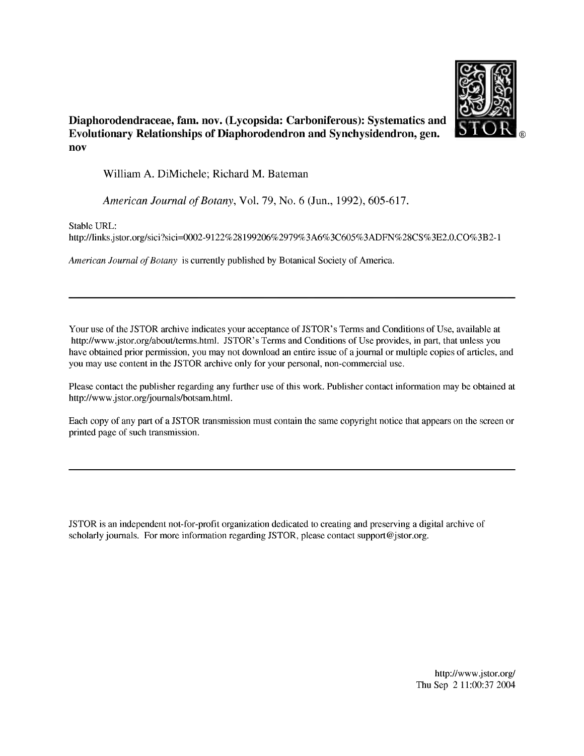

# **Diaphorodendraceae, fam. nov. (Lycopsida: Carboniferous): Systematics and Evolutionary Relationships of Diaphorodendron and Synchysidendron, gen. nov**

William A. DiMichele; Richard M. Bateman

*American Journal of Botany, Vol. 79, No. 6 (Jun., 1992), 605-617.* 

Stable URL:

http://links.jstor.org/sici?sici=0002-9122%28199206%2979%3A6%3C605%3ADFN%28CS%3E2.0.CO%3B2-l

*American Journal of Botany* is currently published by Botanical Society of America.

Your use of the JSTOR archive indicates your acceptance of JSTOR's Terms and Conditions of Use, available at http://www.jstor.org/about/terms.html. JSTOR's Terms and Conditions of Use provides, in part, that unless you have obtained prior permission, you may not download an entire issue of a journal or multiple copies of articles, and you may use content in the JSTOR archive only for your personal, non-commercial use.

Please contact the publisher regarding any further use of this work. Publisher contact information may be obtained at http://www.jstor.org/joumals/botsam.html.

Each copy of any part of a JSTOR transmission must contain the same copyright notice that appears on the screen or printed page of such transmission.

JSTOR is an independent not-for-profit organization dedicated to creating and preserving a digital archive of scholarly journals. For more information regarding JSTOR, please contact support@jstor.org.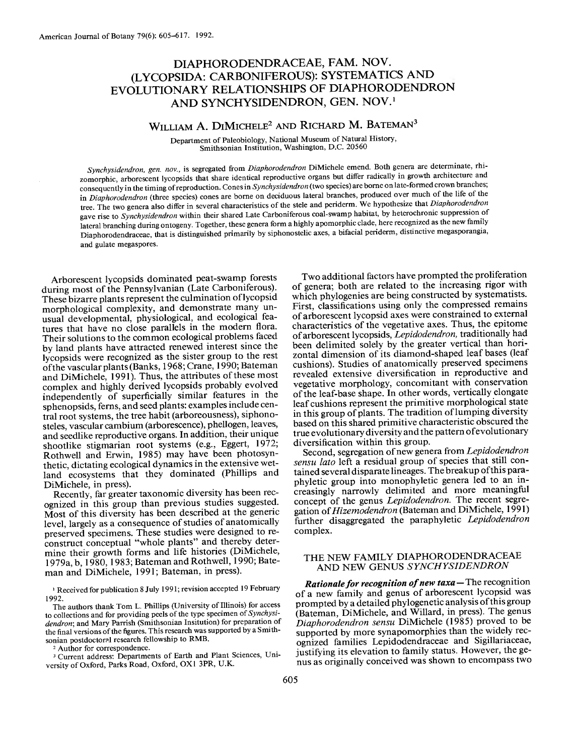# DIAPHORODENDRACEAE, FAM. NOV. (LYCOPSIDA: CARBONIFEROUS): SYSTEMATICS AND EVOLUTIONARY RELATIONSHIPS OF DIAPHORODENDRON AND SYNCHYSIDENDRON, GEN. NOV.<sup>1</sup>

# WILLIAM A. DIMICHELE<sup>2</sup> AND RICHARD M. BATEMAN<sup>3</sup>

Department of Paleobiology, National Museum of Natural History, Smithsonian Institution, Washington, D.C. 20560

*Synchysidendron, gen. nov.,* is segregated from *Diaphorodendron* DiMichele emend. Both genera are determinate, rhizomorphic, arborescent lycopsids that share identical reproductive organs but differ radically in growth architecture and consequently in the timing ofreproduction. Cones in *Synchysidendron* (two species) are borne on late-formed crown branches; in *Diaphorodendron* (three species) cones are borne on deciduous lateral branches, produced over much of the life of the tree The two genera also differ in several characteristics of the stele and periderm. We hypothesize that *Diaphorodendron* gave rise to *Synchysidendron* within their shared Late Carboniferous coal-swamp habitat, by heterochronic suppression of lateral branching during ontogeny. Together, these genera form a highly apomorphic clade, here recognized as the new family Diaphorodendraceae, that is distinguished primarily by siphonostelic axes, a bifacial periderm, distinctive megasporangia, and gulate megaspores.

Arborescent lycopsids dominated peat-swamp forests during most of the Pennsylvanian (Late Carboniferous). These bizarre plants represent the culmination oflycopsid morphological complexity, and demonstrate many unusual developmental, physiological, and ecological features that have no close parallels in the modem flora. Their solutions to the common ecological problems faced by land plants have attracted renewed interest since the lycopsids were recognized as the sister group to the rest ofthe vascular plants(Banks, 1968; Crane, 1990; Bateman and DiMichele, 1991). Thus, the attributes of these most complex and highly derived lycopsids probably evolved independently of superficially similar features in the sphenopsids, ferns, and seed plants: examples include central root systems, the tree habit (arboreousness), siphonosteles, vascular cambium (arborescence), phellogen, leaves, and seedlike reproductive organs. In addition, their unique shootlike stigmarian root systems (e.g., Eggert, 1972; Rothwell and Erwin, 1985) may have been photosynthetic, dictating ecological dynamics in the extensive wetland ecosystems that they dominated (Phillips and DiMichele, in press).

Recently, far greater taxonomic diversity has been recognized in this group than previous studies suggested. Most of this diversity has been described at the generic level, largely as a consequence of studies of anatomically preserved specimens. These studies were designed to reconstruct conceptual "whole plants" and thereby determine their growth forms and life histories (DiMichele, 1979a, b, 1980,1983; Bateman and Rothwell, 1990; Bateman and DiMichele, 1991; Bateman, in press).

<sup>1</sup> Received for publication 8 July 1991; revision accepted 19 February 1992.

The authors thank Tom L. Phillips (University of Illinois) for access to collections and for providing peels of the type specimen of *Synchysidendron;* and Mary Parrish (Smithsonian Insitution) for preparation of the final versions of the figures. This research was supported by a Smithsonian postdoctoral research fellowship to RMB.

<sup>2</sup> Author for correspondence.

<sup>3</sup> Current address: Departments of Earth and Plant Sciences, University of Oxford, Parks Road, Oxford, OXl 3PR, U.K.

Two additional factors have prompted the proliferation of genera; both are related to the increasing rigor with which phylogenies are being constructed by systematists. First, classifications using only the compressed remains of arborescent lycopsid axes were constrained to external characteristics of the vegetative axes. Thus, the epitome ofarborescent lycopsids, *Lepidodendron,* traditionally had been delimited solely by the greater vertical than horizontal dimension of its diamond-shaped leaf bases (leaf cushions). Studies of anatomically preserved specimens revealed extensive diversification in reproductive and vegetative morphology, concomitant with conservation of the leaf-base shape. In other words, vertically elongate leaf cushions represent the primitive morphological state in this group of plants. The tradition of lumping diversity based on this shared primitive characteristic obscured the true evolutionary diversity and the pattern ofevolutionary diversification within this group.

Second, segregation ofnew genera from *Lepidodendron sensu lato* left a residual group of species that still contained several disparate lineages. The breakup ofthis paraphyletic group into monophyletic genera led to an increasingly narrowly delimited and more meaningful concept of the genus *Lepidodendron.* The recent segregation of *Hizemodendron* (Bateman and DiMichele, 1991) further disaggregated the paraphyletic *Lepidodendron* complex.

### THE NEW FAMILY DIAPHORODENDRACEAE AND NEW GENUS *SYNCHYSIDENDRON*

*Rationalefor recognition ofnew taxa—The* recognition of a new family and genus of arborescent lycopsid was prompted by a detailed phylogenetic analysis ofthis group (Bateman, DiMichele, and Willard, in press). The genus *Diaphorodendron sensu* DiMichele (1985) proved to be supported by more synapomorphies than the widely recognized families Lepidodendraceae and Sigillariaceae, justifying its elevation to family status. However, the genus as originally conceived was shown to encompass two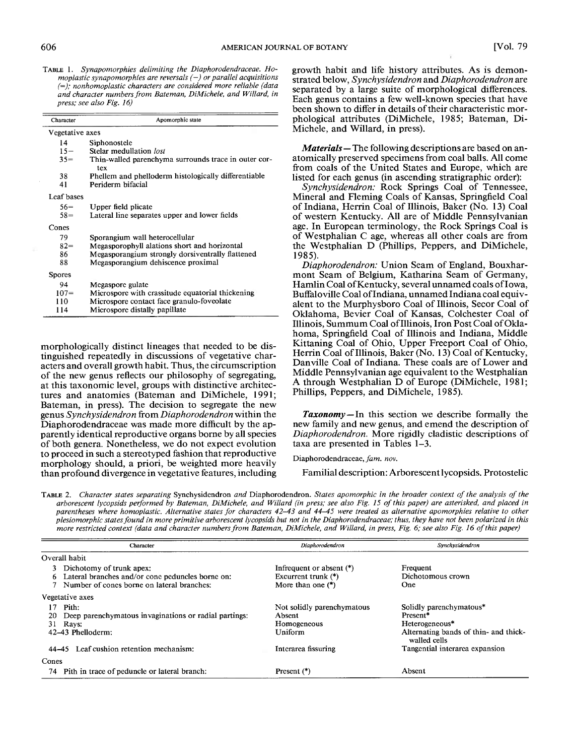TABLE 1. *Synapomorphies delimiting the Diaphowdendraceae. Homoplastic synapomorphies are reversals (—) or parallel acquisitions (=); nonhomoplastic characters are considered more reliable (data and character numbersfrom Bateman, DiMichele, and Willard, in press; see also Fig. 16)*

| Character     | Apomorphic state                                            |  |  |
|---------------|-------------------------------------------------------------|--|--|
|               | Vegetative axes                                             |  |  |
| 14            | Siphonostele                                                |  |  |
| $15 -$        | Stelar medullation lost                                     |  |  |
| $35=$         | Thin-walled parenchyma surrounds trace in outer cor-<br>tex |  |  |
| 38            | Phellem and phelloderm histologically differentiable        |  |  |
| 41            | Periderm bifacial                                           |  |  |
| Leaf bases    |                                                             |  |  |
| $56=$         | Upper field plicate                                         |  |  |
| $58 =$        | Lateral line separates upper and lower fields               |  |  |
| Cones         |                                                             |  |  |
| 79            | Sporangium wall heterocellular                              |  |  |
| $82 =$        | Megasporophyll alations short and horizontal                |  |  |
| 86            | Megasporangium strongly dorsiventrally flattened            |  |  |
| 88            | Megasporangium dehiscence proximal                          |  |  |
| <b>Spores</b> |                                                             |  |  |
| 94            | Megaspore gulate                                            |  |  |
| $107=$        | Microspore with crassitude equatorial thickening            |  |  |
| 110           | Microspore contact face granulo-foveolate                   |  |  |
| 114           | Microspore distally papillate                               |  |  |

morphologically distinct lineages that needed to be distinguished repeatedly in discussions of vegetative characters and overall growth habit. Thus, the circumscription of the new genus reflects our philosophy of segregating, at this taxonomic level, groups with distinctive architectures and anatomies (Bateman and DiMichele, 1991; Bateman, in press). The decision to segregate the new genus *Synchysidendron* from *Diaphorodendron* within the Diaphorodendraceae was made more difficult by the apparently identical reproductive organs borne by all species of both genera. Nonetheless, we do not expect evolution to proceed in such a stereotyped fashion that reproductive morphology should, a priori, be weighted more heavily than profound divergence in vegetative features, including growth habit and life history attributes. As is demonstrated below, *Synchysidendron* and *Diaphorodendron* are separated by a large suite of morphological differences. Each genus contains a few well-known species that have been shown to differ in details of their characteristic morphological attributes (DiMichele, 1985; Bateman, Di-Michele, and Willard, in press).

*Materials—*The following descriptions are based on anatomically preserved specimens from coal balls. All come from coals of the United States and Europe, which are listed for each genus (in ascending stratigraphic order):

*Synchysidendron:* Rock Springs Coal of Tennessee, Mineral and Fleming Coals of Kansas, Springfield Coal of Indiana, Herrin Coal of Illinois, Baker (No. 13) Coal of western Kentucky. All are of Middle Pennsylvanian age. In European terminology, the Rock Springs Coal is of Westphalian C age, whereas all other coals are from the Westphalian D (Phillips, Peppers, and DiMichele, 1985).

*Diaphorodendron:* Union Seam of England, Bouxharmont Seam of Belgium, Katharina Seam of Germany, Hamlin Coal of Kentucky, several unnamed coals of Iowa, Buffaloville Coal of Indiana, unnamed Indiana coal equivalent to the Murphysboro Coal of Illinois, Secor Coal of Oklahoma, Bevier Coal of Kansas, Colchester Coal of Illinois, Summum Coal ofIllinois, Iron Post Coal ofOklahoma, Springfield Coal of Illinois and Indiana, Middle Kittaning Coal of Ohio, Upper Freeport Coal of Ohio, Herrin Coal of Illinois, Baker (No. 13) Coal of Kentucky, Danville Coal of Indiana. These coals are of Lower and Middle Pennsylvanian age equivalent to the Westphalian A through Westphalian D of Europe (DiMichele, 1981; Phillips, Peppers, and DiMichele, 1985).

*Taxonomy—\n* this section we describe formally the new family and new genus, and emend the description of *Diaphorodendron.* More rigidly cladistic descriptions of taxa are presented in Tables 1-3.

Diaphorodendraceae, *fam. nov.*

Familial description: Arborescent lycopsids. Protostelic

TABLE 2. Character states separating Synchysidendron and Diaphorodendron. States apomorphic in the broader context of the analysis of the arborescent lycopsids performed by Bateman, DiMichele, and Willard (in press; see also Fig. 15 of this paper) are asterisked, and placed in parentheses where homoplastic. Alternative states for characters 42-43 and 44-45 were treated as alternative apomorphies relative to other plesiomorphic states found in more primitive arborescent lycopsids but not in the Diaphorodendraceae; thus, they have not been polarized in this more restricted context (data and character numbers from Bateman, DiMichele, and Willard, in press, Fig. 6; see also Fig. 16 of this paper)

| Character                                                   | Diaphorodendron            | Synchysidendron                                       |
|-------------------------------------------------------------|----------------------------|-------------------------------------------------------|
| Overall habit                                               |                            |                                                       |
| Dichotomy of trunk apex:                                    | Infrequent or absent $(*)$ | Frequent                                              |
| Lateral branches and/or cone peduncles borne on:<br>6.      | Excurrent trunk $(*)$      | Dichotomous crown                                     |
| Number of cones borne on lateral branches:                  | More than one $(*)$        | One.                                                  |
| Vegetative axes                                             |                            |                                                       |
| Pith:<br>17                                                 | Not solidly parenchymatous | Solidly parenchymatous*                               |
| Deep parenchymatous invaginations or radial partings:<br>20 | Absent                     | Present*                                              |
| Rays:<br>31                                                 | Homogeneous                | Heterogeneous*                                        |
| 42-43 Phelloderm:                                           | Uniform                    | Alternating bands of thin- and thick-<br>walled cells |
| 44–45 Leaf cushion retention mechanism:                     | Interarea fissuring        | Tangential interarea expansion                        |
| Cones                                                       |                            |                                                       |
| 74 Pith in trace of peduncle or lateral branch:             | Present $(*)$              | Absent                                                |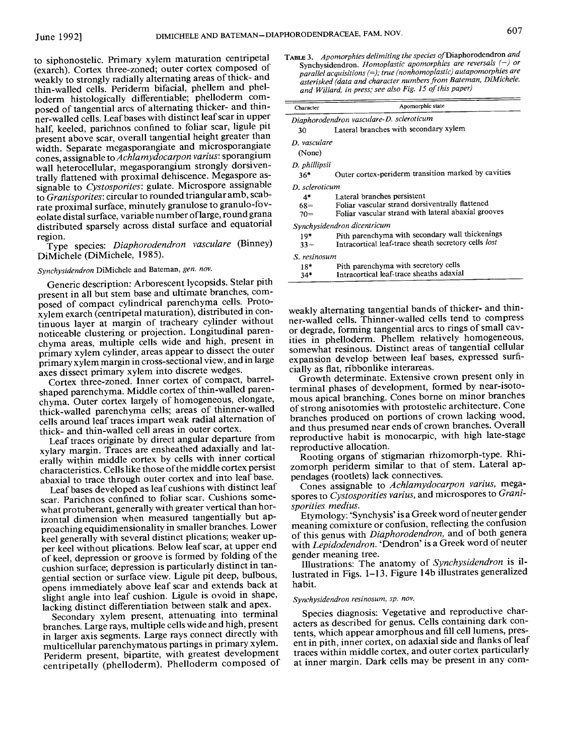to siphonostelic. Primary xylem maturation centripetal (exarch). Cortex three-zoned; outer cortex composed of weakly to strongly radially alternating areas of thick- and thin-walled cells. Periderm bifacial, phellem and phelloderm histologically differentiable; phelloderm composed of tangential arcs of alternating thicker- and thinner-walled cells. Leafbases with distinct leafscar in upper half, keeled, parichnos confined to foliar scar, ligule pit present above scar, overall tangential height greater than width. Separate megasporangiate and microsporangiate cones, assignable *Xo Achlamydocarpon varius:* sporangium wall heterocellular, megasporangium strongly dorsiventrally flattened with proximal dehiscence. Megaspore assignable to *Cystosporites:* gulate. Microspore assignable to *Granisporites*: circular to rounded triangular amb, scabrate proximal surface, minutely granulose to granulo-foveolate distal surface, variable number oflarge, round grana distributed sparsely across distal surface and equatorial region.

Type species: *Diaphorodendron vasculare* (Binney) DiMichele (DiMichele, 1985).

## *Synchysidendron* DiMichele and Bateman, *gen. nov.*

Generic description: Arborescent lycopsids. Stelar pith present in all but stem base and ultimate branches, composed of compact cylindrical parenchyma cells. Protoxylem exarch (centripetal maturation), distributed m continuous layer at margin of tracheary cylinder without noticeable clustering or projection. Longitudinal parenchyma areas, multiple cells wide and high, present in primary xylem cylinder, areas appear to dissect the outer primary xylem margin in cross-sectional view, and in large axes dissect primary xylem into discrete wedges.

Cortex three-zoned. Inner cortex of compact, barrelshaped parenchyma. Middle cortex of thin-walled parenchyma. Outer cortex largely of homogeneous, elongate, thick-walled parenchyma cells; areas of thinner-walled cells around leaf traces impart weak radial alternation of thick- and thin-walled cell areas in outer cortex.

Leaf traces originate by direct angular departure from xylary margin. Traces are ensheathed adaxially and laterally within middle cortex by cells with inner cortical characteristics. Cells like those ofthe middle cortex persist abaxial to trace through outer cortex and into leaf base.

Leaf bases developed as leaf cushions with distinct leaf scar. Parichnos confined to foliar scar. Cushions somewhat protuberant, generally with greater vertical than horizontal dimension when measured tangentially but approaching equidimensionality in smaller branches. Lower keel generally with several distinct plications; weaker upper keel without plications. Below leaf scar, at upper end of keel, depression or groove is formed by folding of the cushion surface; depression is particularly distinct in tangential section or surface view. Ligule pit deep, bulbous, opens immediately above leaf scar and extends back at slight angle into leaf cushion. Ligule is ovoid in shape, lacking distinct differentiation between stalk and apex.

Secondary xylem present, attenuating into terminal branches. Large rays, multiple cells wide and high, present in larger axis segments. Large rays connect directly with multicellular parenchymatous partings in primary xylem. Periderm present, bipartite, with greatest development centripetally (phelloderm). Phelloderm composed of

TABLE 3. *Apomorphies delimiting the species* o/Diaphorodendron *and* Synchysidendron. *Homoplastic apomorphies are reversals (-) or parallel acquisitions (=); true (nonhomoplastic) autapomorphies are asterisked (data and character numbersfrom Bateman, DiMichele, and Willard, in press; see also Fig. 15 ofthis paper)*

| Character                   | Apomorphic state                                     |  |  |  |
|-----------------------------|------------------------------------------------------|--|--|--|
|                             | Diaphorodendron vasculare-D. scleroticum             |  |  |  |
| 30                          | Lateral branches with secondary xylem                |  |  |  |
| D. vasculare                |                                                      |  |  |  |
| (None)                      |                                                      |  |  |  |
| D. phillipsii               |                                                      |  |  |  |
| $36*$                       | Outer cortex-periderm transition marked by cavities  |  |  |  |
|                             | D. scleroticum                                       |  |  |  |
| $4*$                        | Lateral branches persistent                          |  |  |  |
| $68 =$                      | Foliar vascular strand dorsiventrally flattened      |  |  |  |
| $70=$                       | Foliar vascular strand with lateral abaxial grooves  |  |  |  |
| Synchysidendron dicentricum |                                                      |  |  |  |
| $19*$                       | Pith parenchyma with secondary wall thickenings      |  |  |  |
| $33 -$                      | Intracortical leaf-trace sheath secretory cells lost |  |  |  |
|                             | S. resinosum                                         |  |  |  |
| 18*                         | Pith parenchyma with secretory cells                 |  |  |  |
| $34*$                       | Intracortical leaf-trace sheaths adaxial             |  |  |  |

weakly alternating tangential bands of thicker- and thinner-walled cells. Thinner-walled cells tend to compress or degrade, forming tangential arcs to rings of small cavities in phelloderm. Phellem relatively homogeneous, somewhat resinous. Distinct areas of tangential cellular expansion develop between leaf bases, expressed surficially as flat, ribbonlike interareas.

Growth determinate. Extensive crown present only in terminal phases of development, formed by near-isotomous apical branching. Cones borne on minor branches of strong anisotomies with protostelic architecture. Cone branches produced on portions of crown lacking wood, and thus presumed near ends of crown branches. Overall reproductive habit is monocarpic, with high late-stage reproductive allocation.

Rooting organs of stigmarian rhizomorph-type. Rhizomorph periderm similar to that of stem. Lateral appendages (rootlets) lack connectives.

Cones assignable to *Achlamydocarpon varius,* megaspores to *Cystosporities varius,* and microspores to *Granisporities medius.*

Etymology: 'Synchysis' is a Greekword ofneuter gender meaning comixture or confusion, reflecting the confusion of this genus with *Diaphorodendron,* and of both genera with *Lepidodendron*. 'Dendron' is a Greek word of neuter gender meaning tree.

Illustrations: The anatomy of *Synchysidendron* is illustrated in Figs. 1-13. Figure 14b illustrates generalized habit.

#### *Synchysidendron resinosum, sp. nov.*

Species diagnosis: Vegetative and reproductive characters as described for genus. Cells containing dark contents, which appear amorphous and fill cell lumens, present in pith, inner cortex, on adaxial side and flanks of leaf traces within middle cortex, and outer cortex particulariy at inner margin. Dark cells may be present in any com-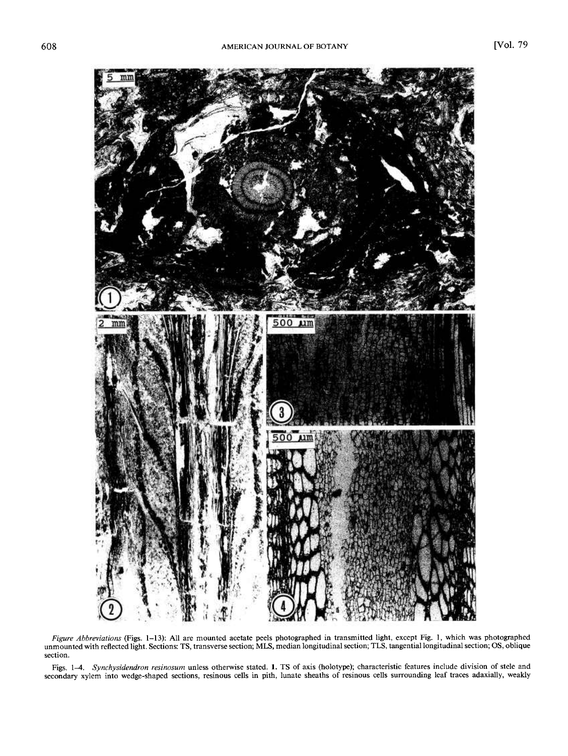

*Figure Abbreviations* (Figs. 1-13): All are mounted acetate peels photographed in transmitted light, except Fig. 1, which was photographed unmounted with reflected light. Sections: TS, transverse section; MLS, median longitudinal section; TLS, tangential longitudinal section; OS, obhque section.

Figs. 1-4. Synchysidendron *resinosum* unless otherwise stated. 1. TS of axis (holotype); characteristic features include division of stele and secondary xylem into wedge-shaped sections, resinous cells in pith, lunate sheaths of resinous cells surrounding leaf traces adaxially, weakly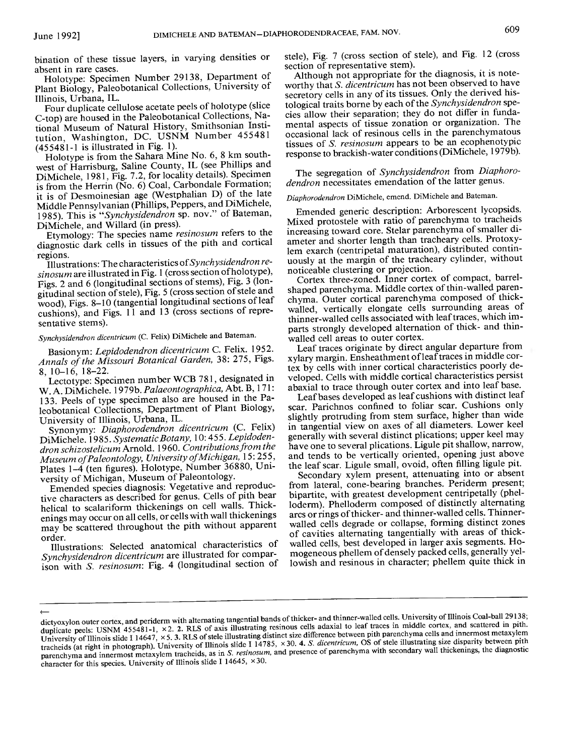bination of these tissue layers, in varying densities or absent in rare cases.

Holotype: Specimen Number 29138, Department of Plant Biology, Paleobotanical Collections, University of Illinois, Urbana, IL.

Four duplicate cellulose acetate peels of holotype (slice C-top) are housed in the Paleobotanical Collections, National Museum of Natural History, Smithsonian Institution, Washington, DC. USNM Number 455481 (455481-1 is illustrated in Fig. 1).

Holotype is from the Sahara Mine No. 6, 8 km southwest of Harrisburg, Saline County, IL (see Phillips and DiMichele, 1981, Fig. 7.2, for locality details). Specimen is from the Herrin (No. 6) Coal, Carbondale Formation; it is of Desmoinesian age (Westphalian D) of the late Middle Pennsylvanian (Phillips, Peppers, and DiMichele, 1985). This is *''Synchysidendron* sp. nov." of Bateman, DiMichele, and Willard (in press).

Etymology: The species name *resinosum* refers to the diagnostic dark cells in tissues of the pith and cortical regions.

Illustrations: The characteristics of Synchysidendron resinosum are illustrated in Fig. 1 (cross section of holotype), Figs. 2 and 6 (longitudinal sections of stems), Fig. 3 (longitudinal section of stele), Fig. 5 (cross section of stele and wood), Figs. 8-10 (tangential longitudinal sections of leaf cushions), and Figs. <sup>11</sup> and 13 (cross sections of representative stems).

Synchysidendron dicentricum (C. Felix) DiMichele and Bateman.

Basionym: *Lepidodendron dicentricum* C. Felix. 1952. *Annals of the Missouri Botanical Garden,* 38: 275, Figs. 8, 10-16, 18-22.

Lectotype: Specimen number WCB 781, designated in W. A. DiMichele. 1979b. *Palaeontographica,* Abt. B, 171: 133. Peels of type specimen also are housed in the Paleobotanical Collections, Department of Plant Biology, University of Illinois, Urbana, IL.

Synonymy: *Diaphorodendron dicentricum* (C. Felix) DiMichele. *\9%5. SystematicBotany, 10:455. Lepidodendron schizostelicum Arnold.* 1960. *Contributionsfrom the Museum of Paleontology, University of Michigan,* 15:255, Plates 1-4 (ten figures). Holotype, Number 36880, University of Michigan, Museum of Paleontology.

Emended species diagnosis: Vegetative and reproductive characters as described for genus. Cells of pith bear helical to scalariform thickenings on cell walls. Thickenings may occur on all cells, or cells with wall thickenings may be scattered throughout the pith without apparent order.

Illustrations: Selected anatomical characteristics of *Synchysidendron dicentricum* are illustrated for comparison with S. resinosum: Fig. 4 (longitudinal section of

stele). Fig. 7 (cross section of stele), and Fig. 12 (cross section of representative stem).

Although not appropriate for the diagnosis, it is noteworthy that *S. dicentricum* has not been observed to have secretory cells in any of its tissues. Only the derived histological traits borne by each ofthe *Synchysidendron* species allow their separation; they do not differ in fundamental aspects of tissue zonation or organization. The occasional lack of resinous cells in the parenchymatous tissues of *S. resinosum* appears to be an ecophenotypic response to brackish-water conditions (DiMichele, 1979b).

The segregation of *Synchysidendron* from *Diaphorodendron* necessitates emendation of the latter genus.

### *Diaphorodendron* DiMichele, emend. DiMichele and Bateman.

Emended generic description: Arborescent lycopsids. Mixed protostele with ratio of parenchyma to tracheids increasing toward core. Stelar parenchyma of smaller diameter and shorter length than tracheary cells. Protoxylem exarch (centripetal maturation), distributed continuously at the margin of the tracheary cylinder, without noticeable clustering or projection.

Cortex three-zoned. Inner cortex of compact, barrelshaped parenchyma. Middle cortex of thin-walled parenchyma. Outer cortical parenchyma composed of thickwalled, vertically elongate cells surrounding areas of thinner-walled cells associated with leaftraces, which imparts strongly developed alternation of thick- and thinwalled cell areas to outer cortex.

Leaf traces originate by direct angular departure from xylary margin. Ensheathment ofleaftraces in middle cortex by cells with inner cortical characteristics poorly developed. Cells with middle cortical characteristics persist abaxial to trace through outer cortex and into leaf base.

Leafbases developed as leaf cushions with distinct leaf scar. Parichnos confined to foliar scar. Cushions only slightly protruding from stem surface, higher than wide in tangential view on axes of all diameters. Lower keel generally with several distinct plications; upper keel may have one to several plications. Ligule pit shallow, narrow, and tends to be vertically oriented, opening just above the leaf scar. Ligule small, ovoid, often filling ligule pit.

Secondary xylem present, attenuating into or absent from lateral, cone-bearing branches. Periderm present; bipartite, with greatest development centripetally (phelloderm). Phelloderm composed of distinctly alternating arcs or rings of thicker- and thinner-walled cells. Thinnerwalled cells degrade or collapse, forming distinct zones of cavities alternating tangentially with areas of thickwalled cells, best developed in larger axis segments. Homogeneous phellem of densely packed cells, generally yellowish and resinous in character; phellem quite thick in

dictyoxylon outer cortex, and periderm with alternating tangential bands of thicker- and thinner-walled cells. University of Illinois Coal-ball 29138; duplicate peels: USNM 455481-1, ×2. 2. RLS of axis illustrating resinous cells adaxial to leaf traces in middle cortex, and scattered in pith. University of Illinois slide I 14647, × 5. 3. RLS of stele illustrating distinct size difference between pith parenchyma cells and innermost metaxylem tracheids (at right in photograph). University of Illinois slide I 14785, x 30. 4. *S. dicentricum*, OS of stele illustrating size disparity between pith parenchyma and innermost metaxylem tracheids, as in *S. resinosum*, and presence of parenchyma with secondary wall thickenings, the diagnostic character for this species. University of Illinois slide I 14645,  $\times 30$ .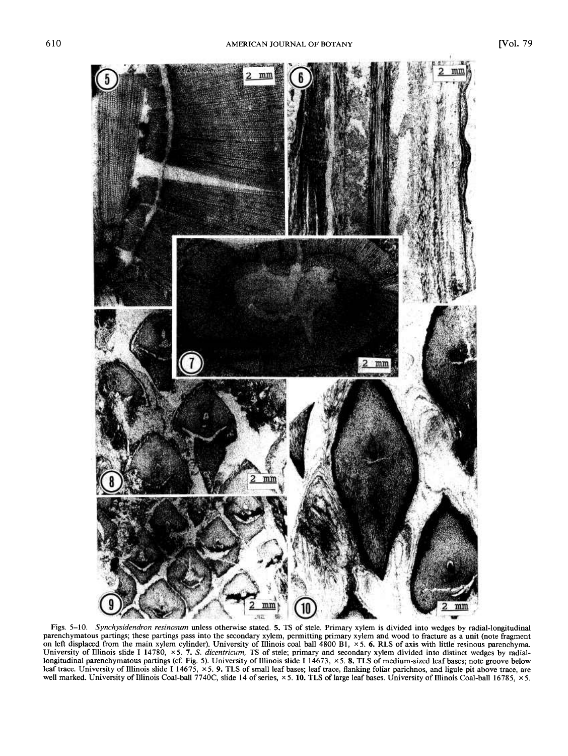

Figs. 5-10. *Synchysidendron resinosum* unless otherwise stated. 5. TS of stele. Primary xylem is divided into wedges by radial-longitudinal parenchymatous partings; these partings pass into the secondary xylem, permitting primary xylem and wood to fracture as a unit (note fragment on left displaced from the main xylem cylinder). University of Illinois coal ball 4800 Bl, x5. 6. RLS of axis with little resinous parenchyma. University of Illinois slide I 14780, x5. 7. *S. dicentricum,* TS of stele; primary and secondary xylem divided into distinct wedges by radiallongitudinal parenchymatous partings (cf. Fig. 5). University of Illinois slide I 14673, ×5. 8. TLS of medium-sized leaf bases; note groove below leaf trace. University of Illinois slide I 14675, ×5. 9. TLS of small leaf bases; leaf trace, flanking foliar parichnos, and ligule pit above trace, are well marked. University of Illinois Coal-ball 7740C, slide 14 of series, ×5. 10. TLS of large leaf bases. University of Illinois Coal-ball 16785, ×5.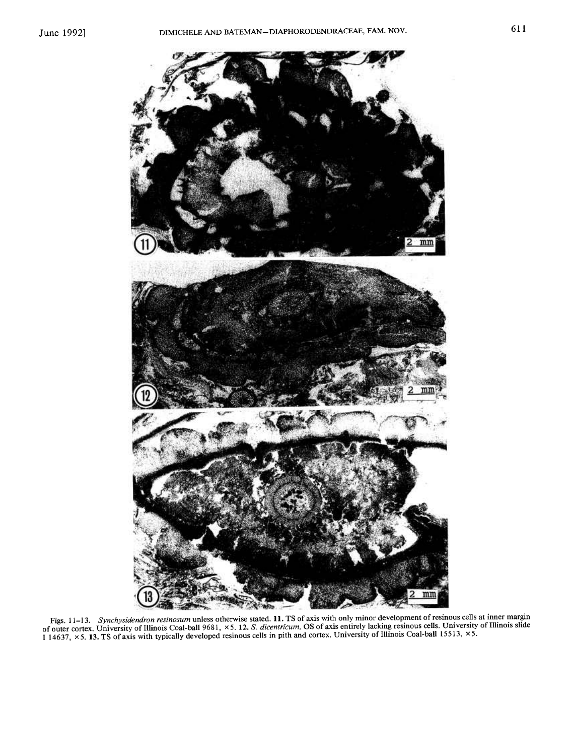

Figs 11-13 *Synchysidendron resinosum* unless otherwise stated. 11. TS of axis with only minor development of resinous cells at inner margin of outer cortex. University of Illinois Coal-ball 9681, x5. 12. *S. dicentricum,* OS of axis entirely lacking resinous cells. University of Illinois slide I 14637,  $\times$  5. 13. TS of axis with typically developed resinous cells in pith and cortex. University of Illinois Coal-ball 15513,  $\times$  5.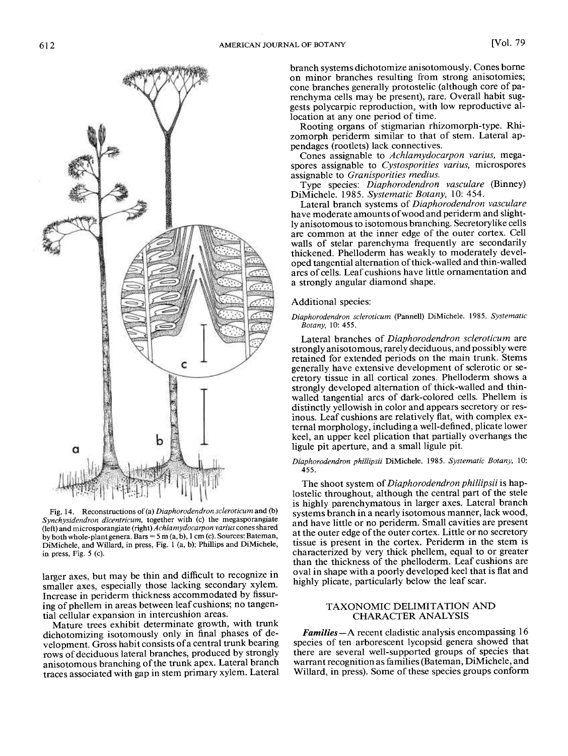

Fig. 14. Reconstructions of (a) *Diaphorodendron scleroticum* and (b) *Synchysidendron dicentricum,* together with (c) the megasporangiate (left) and microsporangiate (right) *Achlamydocarpon varius* conesshared by both whole-plant genera. Bars =  $5 \text{ m}$  (a, b), 1 cm (c). Sources: Bateman, DiMichele, and Willard, in press, Fig. <sup>1</sup> (a, b); Phillips and DiMichele, in press, Fig. 5 (c).

larger axes, but may be thin and difficult to recognize in smaller axes, especially those lacking secondary xylem. Increase in periderm thickness accommodated by fissuring of phellem in areas between leaf cushions; no tangential cellular expansion in intercushion areas.

Mature trees exhibit determinate growth, with trunk dichotomizing isotomously only in final phases of development. Gross habit consists ofa central trunk bearing rows of deciduous lateral branches, produced by strongly anisotomous branching of the trunk apex. Lateral branch traces associated with gap in stem primary xylem. Lateral branch systems dichotomize anisotomously. Cones borne on minor branches resulting from strong anisotomies; cone branches generally protostelic (although core of parenchyma cells may be present), rare. Overall habit suggests polycarpic reproduction, with low reproductive allocation at any one period of time.

Rooting organs of stigmarian rhizomorph-type. Rhizomorph periderm similar to that of stem. Lateral appendages (rootlets) lack connectives.

Cones assignable to *Achlamydocarpon varius,* megaspores assignable to *Cystosporities varius,* microspores assignable to *Granisporities medius.*

Type species: *Diaphorodendron vasculare* (Binney) DiMichele. 1985. *Systematic Botany,* 10: 454.

Lateral branch systems of *Diaphorodendron vasculare* have moderate amounts ofwood and periderm and slightly anisotomous to isotomous branching. Secretorylike cells are common at the inner edge of the outer cortex. Cell walls of stelar parenchyma frequently are secondarily thickened. Phelloderm has weakly to moderately developed tangential alternation of thick-walled and thin-walled arcs of cells. Leaf cushions have little ornamentation and a strongly angular diamond shape.

#### Additional species:

*Diaphorodendron scleroticum* (Pannell) DiMichele. 1985. *Systematic Botany,* 10: 455.

Lateral branches of *Diaphorodendron scleroticum* are strongly anisotomous, rarely deciduous, and possibly were retained for extended periods on the main trunk. Stems generally have extensive development of sclerotic or secretory tissue in all cortical zones. Phelloderm shows a strongly developed alternation of thick-walled and thinwalled tangential arcs of dark-colored cells. Phellem is distinctly yellowish in color and appears secretory or resinous. Leaf cushions are relatively flat, with complex external morphology, including a well-defined, plicate lower keel, an upper keel plication that partially overhangs the ligule pit aperture, and a small ligule pit.

*Diaphorodendron phillipsii* DiMichele. 1985. *Systematic Botany,* 10: 455.

The shoot system *oiDiaphorodendron phillipsii* is haplostelic throughout, although the central part of the stele is highly parenchymatous in larger axes. Lateral branch systems branch in a nearly isotomous manner, lack wood, and have little or no periderm. Small cavities are present at the outer edge of the outer cortex. Little or no secretory tissue is present in the cortex. Periderm in the stem is characterized by very thick phellem, equal to or greater than the thickness of the phelloderm. Leaf cushions are oval in shape with a poorly developed keel that is flat and highly plicate, particularly below the leaf scar.

#### TAXONOMIC DELIMITATION AND CHARACTER ANALYSIS

*Families—A.* recent cladistic analysis encompassing 16 species of ten arborescent lycopsid genera showed that there are several well-supported groups of species that warrant recognition as families (Bateman, DiMichele, and Willard, in press). Some of these species groups conform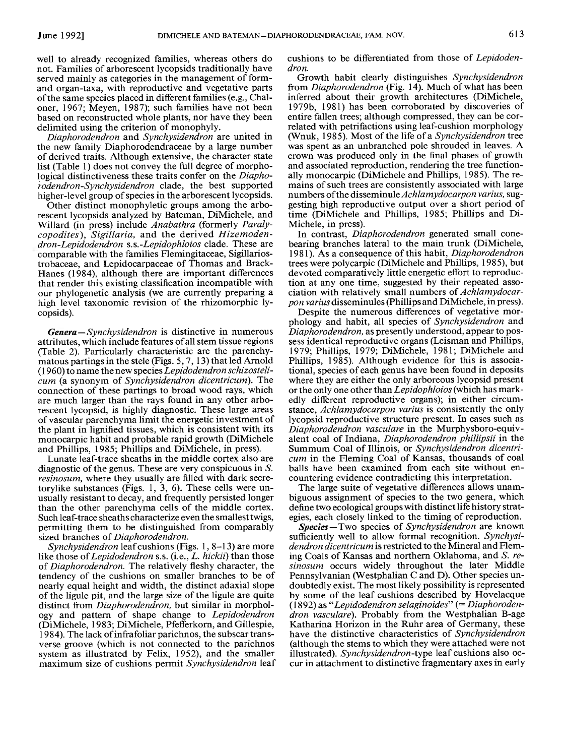well to already recognized families, whereas others do not. Families of arborescent lycopsids traditionally have served mainly as categories in the management of formand organ-taxa, with reproductive and vegetative parts ofthe same species placed in different families (e.g., Chaloner, 1967; Meyen, 1987); such families have not been based on reconstructed whole plants, nor have they been delimited using the criterion of monophyly.

*Diaphorodendron* and *Synchysidendron* are united in the new family Diaphorodendraceae by a large number of derived traits. Although extensive, the character state list (Table 1) does not convey the full degree of morphological distinctiveness these traits confer on the *Diaphorodendron-Synchysidendron* clade, the best supported higher-level group of species in the arborescent lycopsids.

Other distinct monophyletic groups among the arborescent lycopsids analyzed by Bateman, DiMichele, and Willard (in press) include *Anabathra* (formerly *Paralycopodites), Sigillaria,* and the derived *Hizemodendron-Lepidodendron s.s.-Lepidophloios* clade. These are comparable with the families Flemingitaceae, Sigillariostrobaceae, and Lepidocarpaceae of Thomas and Brack-Hanes (1984), although there are important differences that render this existing classification incompatible with our phylogenetic analysis (we are currently preparing a high level taxonomic revision of the rhizomorphic lycopsids).

*Genera—Synchysidendron* is distinctive in numerous attributes, which include features ofall stem tissue regions (Table 2). Particularly characteristic are the parenchymatous partings in the stele (Figs. 5,7, 13) that led Arnold (1960) to name the new species *Lepidodendron schizostelicum* (a synonym of *Synchysidendron dicentricum).* The connection of these partings to broad wood rays, which are much larger than the rays found in any other arborescent lycopsid, is highly diagnostic. These large areas of vascular parenchyma limit the energetic investment of the plant in lignified tissues, which is consistent with its monocarpic habit and probable rapid growth (DiMichele and Phillips, 1985; Phillips and DiMichele, in press).

Lunate leaf-trace sheaths in the middle cortex also are diagnostic of the genus. These are very conspicuous in *S*. *resinosum,* where they usually are filled with dark secretorylike substances (Figs. 1, 3, 6). These cells were unusually resistant to decay, and frequently persisted longer than the other parenchyma cells of the middle cortex. Such leaf-trace sheaths characterize even the smallest twigs, permitting them to be distinguished from comparably sized branches of *Diaphorodendron.*

*Synchysidendron* leaf cushions (Figs. 1, 8–13) are more like those *ofLepidodendron* s.s. (i.e., *L. hickii)* than those of *Diaphorodendron.* The relatively fleshy character, the tendency of the cushions on smaller branches to be of nearly equal height and width, the distinct adaxial slope of the ligule pit, and the large size of the ligule are quite distinct from *Diaphorodendron,* but similar in morphology and pattern of shape change to *Lepidodendron* (DiMichele, 1983; DiMichele, Pfefferkom, and Gillespie, 1984). The lack ofinfrafoliar parichnos, the subscar transverse groove (which is not connected to the parichnos system as illustrated by Felix, 1952), and the smaller maximum size of cushions permit *Synchysidendron* leaf cushions to be differentiated from those of *Lepidodendron.*

Growth habit clearly distinguishes *Synchysidendron* from *Diaphorodendron* (Fig. 14). Much of what has been inferred about their growth architectures (DiMichele, 1979b, 1981) has been corroborated by discoveries of entire fallen trees; although compressed, they can be correlated with petrifactions using leaf-cushion morphology (Wnuk, 1985). Most of the life of a *Synchysidendron* tree was spent as an unbranched pole shrouded in leaves. A crown was produced only in the final phases of growth and associated reproduction, rendering the tree functionally monocarpic (DiMichele and Phillips, 1985). The remains of such trees are consistently associated with large numbers of the disseminule *Achlamydocarpon varius*, suggesting high reproductive output over a short period of time (DiMichele and Phillips, 1985; Phillips and Di-Michele, in press).

In contrast, *Diaphorodendron* generated small conebearing branches lateral to the main trunk (DiMichele, 1981). As a consequence ofthis habit, *Diaphorodendron* trees were polycarpic (DiMichele and Phillips, 1985), but devoted comparatively little energetic effort to reproduction at any one time, suggested by their repeated association with relatively small numbers of *Achlamydocarpon varius* disseminules (Phillips and DiMichele, in press).

Despite the numerous differences of vegetative morphology and habit, all species of *Synchysidendron* and *Diaphorodendron,* as presently understood, appear to possess identical reproductive organs (Leisman and Phillips, 1979; Phillips, 1979; DiMichele, 1981; DiMichele and Phillips, 1985). Although evidence for this is associational, species of each genus have been found in deposits where they are either the only arboreous lycopsid present or the only one other than*Lepidophloios* (which has markedly different reproductive organs); in either circumstance, *Achlamydocarpon varius* is consistently the only lycopsid reproductive structure present. In cases such as *Diaphorodendron vasculare* in the Murphysboro-equivalent coal of Indiana, *Diaphorodendron phillipsii* in the Summum Coal of Illinois, or *Synchysidendron dicentricum* in the Fleming Coal of Kansas, thousands of coal balls have been examined from each site without encountering evidence contradicting this interpretation.

The large suite of vegetative differences allows unambiguous assignment of species to the two genera, which define two ecological groups with distinct life history strategies, each closely linked to the timing of reproduction.

*Species—Two* species of *Synchysidendron* are known sufficiently well to allow formal recognition. *Synchysidendron dicentricum* is restricted to the Mineral and Fleming Coals of Kansas and northern Oklahoma, and *S. resinosum* occurs widely throughout the later Middle Pennsylvanian (Westphalian C and D). Other species undoubtedly exist. The most likely possibility is represented by some of the leaf cushions described by Hovelacque (1892) as *''Lepidodendron selaginoides"* (= *Diaphorodendron vasculare).* Probably from the Westphalian B-age Katharina Horizon in the Ruhr area of Germany, these have the distinctive characteristics of *Synchysidendron* (although the stems to which they were attached were not illustrated). *Synchysidendron-type* leaf cushions also occur in attachment to distinctive fragmentary axes in early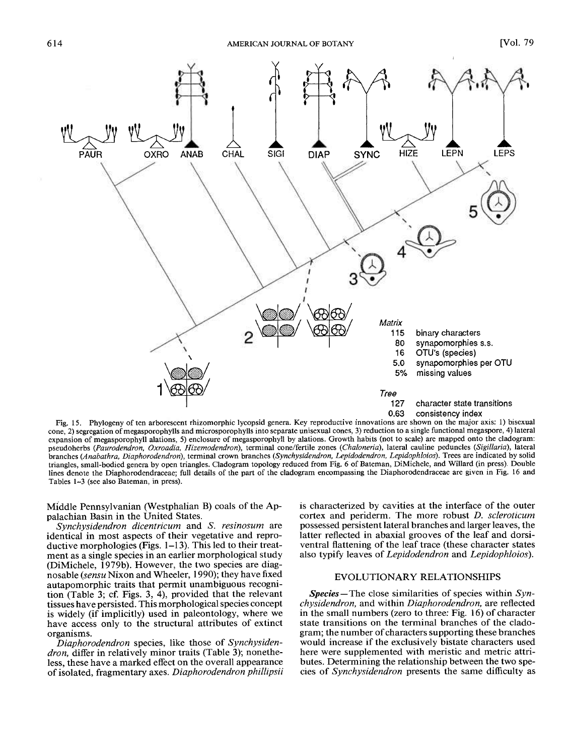

Fig. 15. Phylogeny of ten arborescent rhizomorphic lycopsid genera. Key reproductive innovations are shown on the major axis: 1) bisexual cone, 2) segregation of megasporophylls and microsporophylls into separate unisexual cones, 3) reduction to a single functional megaspore, 4) lateral expansion of megasporophyll alations, 5) enclosure of megasporophyl! by alations. Growth habits (not to scale) are mapped onto the cladogram: pseudoherbs *{Paurodendron, Oxroadia, Hizemodendron),* terminal cone/fertile zones *(Chaloneria),* lateral cauline peduncles *{Sigillaria),* lateral branches *{Anabathra, Diaphorodendron),* terminal crown branches *(Synchysidendron, Lepidodendron, Lepidophloios).* Trees are indicated by solid triangles, small-bodied genera by open triangles. Cladogram topology reduced from Fig. 6 of Bateman, DiMichele, and Willard (in press). Double lines denote the Diaphorodendraceae; full details of the part of the cladogram encompassing the Diaphorodendraceae are given in Fig. 16 and Tables 1-3 (see also Bateman, in press).

Middle Pennsylvanian (Westphalian B) coals of the Appalachian Basin in the United States.

*Synchysidendron dicentricum* and *S. resinosum* are identical in most aspects of their vegetative and reproductive morphologies (Figs. 1-13). This led to their treatment as a single species in an earlier morphological study (DiMichele, 1979b). However, the two species are diagnosable *{sensu* Nixon and Wheeler, 1990); they have fixed autapomorphic traits that permit unambiguous recognition (Table 3; cf. Figs. 3, 4), provided that the relevant tissues have persisted. This morphological species concept is widely (if implicitly) used in paleontology, where we have access only to the structural attributes of extinct organisms.

*Diaphorodendron* species, like those of *Synchysidendron,* differ in relatively minor traits (Table 3); nonetheless, these have a marked effect on the overall appearance ofisolated, fragmentary axes. *Diaphorodendron phillipsii* is characterized by cavities at the interface of the outer cortex and periderm. The more robust *D. scleroticum* possessed persistent lateral branches and larger leaves, the latter reflected in abaxial grooves of the leaf and dorsiventral flattening of the leaf trace (these character states also typify leaves *oi Lepidodendron* and *Lepidophloios).*

### EVOLUTIONARY RELATIONSHIPS

*Species—The* close similarities of species within *Synchysidendron,* and within *Diaphorodendron,* are reflected in the small numbers (zero to three: Fig. 16) of character state transitions on the terminal branches of the cladogram; the number of characters supporting these branches would increase if the exclusively bistate characters used here were supplemented with meristic and metric attributes. Determining the relationship between the two species of *Synchysidendron* presents the same difficulty as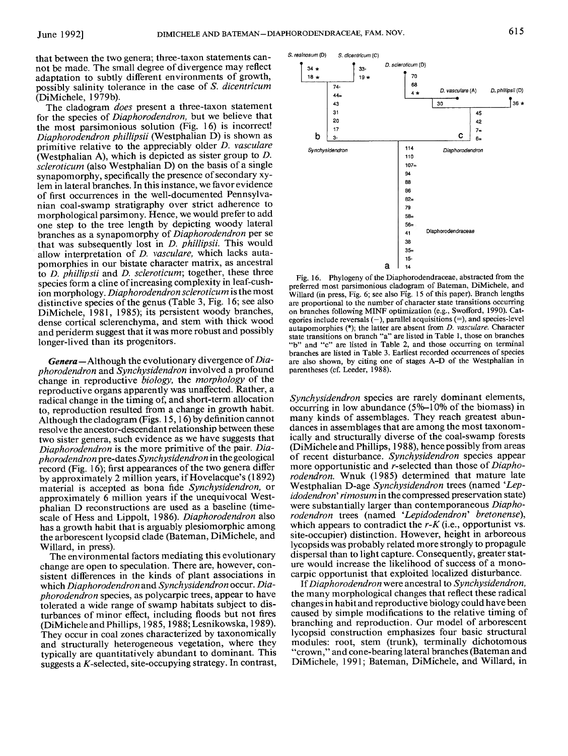that between the two genera; three-taxon statements cannot be made. The small degree of divergence may reflect adaptation to subtly different environments of growth, possibly salinity tolerance in the case of *S. dicentricum* (DiMichele, 1979b).

The cladogram *does* present a three-taxon statement for the species of *Diaphorodendron,* but we believe that the most parsimonious solution (Fig. 16) is incorrect! *Diaphorodendron phillipsii* (Westphalian D) is shown as primitive relative to the appreciably older *D. vasculare* (Westphalian A), which is depicted as sister group to *D. scleroticum* (also Westphalian D) on the basis of a single synapomorphy, specifically the presence of secondary xylem in lateral branches. In this instance, we favor evidence of first occurrences in the well-documented Pennsylvanian coal-swamp stratigraphy over strict adherence to morphological parsimony. Hence, we would prefer to add one step to the tree length by depicting woody lateral branches as a synapomorphy *oi Diaphorodendron* per se that was subsequently lost in *D. phillipsii.* This would allow interpretation of *D. vasculare,* which lacks autapomorphies in our bistate character matrix, as ancestral to *D. phillipsii* and *D. scleroticum;* together, these three species form a cline of increasing complexity in leaf-cushion morphology. *Diaphorodendron scleroticum* isthe most distinctive species of the genus (Table 3, Fig. 16; see also DiMichele, 1981, 1985); its persistent woody branches, dense cortical sclerenchyma, and stem with thick wood and periderm suggest that it was more robust and possibly longer-lived than its progenitors.

Genera - Although the evolutionary divergence of Dia*phorodendron* and *Synchysidendron* involved a profound change in reproductive *biology,* the *morphology* of the reproductive organs apparently was unaffected. Rather, a radical change in the timing of, and short-term allocation to, reproduction resulted from a change in growth habit. Although the cladogram (Figs. 15,16) by definition cannot resolve the ancestor-descendant relationship between these two sister genera, such evidence as we have suggests that *Diaphorodendron* is the more primitive of the pair. Dia*phorodendron* pre-dates *Synchysidendron* in the geological record (Fig. 16); first appearances of the two genera differ by approximately 2 million years, if Hovelacque's (1892) material is accepted as bona fide *Synchysidendron,* or approximately 6 million years if the unequivocal Westphalian D reconstructions are used as a baseline (timescale of Hess and Lippolt, 1986). *Diaphorodendron* also has a growth habit that is arguably plesiomorphic among the arborescent lycopsid clade (Bateman, DiMichele, and Willard, in press).

The environmental factors mediating this evolutionary change are open to speculation. There are, however, consistent differences in the kinds of plant associations in which *Diaphorodendron* and *Synchysidendron* occur. *Diaphorodendron* species, as polycarpic trees, appear to have tolerated a wide range of swamp habitats subject to disturbances of minor effect, including floods but not fires (DiMichele and Phillips, 1985,1988;Lesnikowska, 1989). They occur in coal zones characterized by taxonomically and structurally heterogeneous vegetation, where they typically are quantitatively abundant to dominant. This suggests a  $K$ -selected, site-occupying strategy. In contrast,

S. resinosum (D) S. dicentricum (C)



Fig. 16. Phylogeny of the Diaphorodendraceae, abstracted from the preferred most parsimonious cladogram of Bateman, DiMichele, and Willard (in press, Fig. 6; see also Fig. 15 of this paper). Branch lengths are proportional to the number of character state transitions occurring on branches following MINF optimization (e.g., Swofford, 1990). Categories include reversals  $(-)$ , parallel acquisitions  $(=)$ , and species-level autapomorphies (\*); the latter are absent from *D. vasculare.* Character state transitions on branch "a" are listed in Table 1, those on branches "b" and "c" are listed in Table 2, and those occurring on terminal branches are listed in Table 3. Earliest recorded occurrences of species are also shown, by citing one of stages A-D of the Westphalian in parentheses (cf. Leeder, 1988).

*Synchysidendron* species are rarely dominant elements, occurring in low abundance  $(5\%-10\%)$  of the biomass) in many kinds of assemblages. They reach greatest abundances in assemblages that are among the most taxonomically and structurally diverse of the coal-swamp forests (DiMichele and Phillips, 1988), hence possibly from areas of recent disturbance. *Synchysidendron* species appear more opportunistic and *r*-selected than those of *Diaphorodendron.* Wnuk (1985) determined that mature late Westphalian D-age *Synchysidendron* trees (named *^Lepidodendron' rimosum* in the compressed preservation state) were substantially larger than contemporaneous *Diaphorodendron* trees (named *'Lepidodendron' bretonense),* which appears to contradict the *r-K* (i.e., opportunist vs. site-occupier) distinction. However, height in arboreous lycopsids was probably related more strongly to propagule dispersal than to light capture. Consequently, greater stature would increase the likelihood of success of a monocarpic opportunist that exploited localized disturbance.

*IfDiaphorodendron* were ancestral to *Synchysidendron,* the many morphological changes that reflect these radical changes in habit and reproductive biology could have been caused by simple modifications to the relative timing of branching and reproduction. Our model of arborescent lycopsid construction emphasizes four basic structural modules: root, stem (trunk), terminally dichotomous "crown," and cone-bearing lateral branches (Bateman and DiMichele, 1991; Bateman, DiMichele, and WiUard, in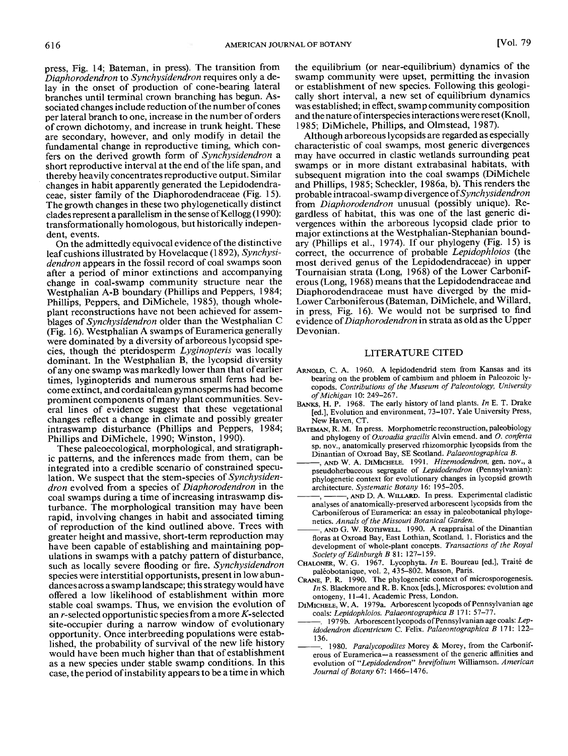press, Fig. 14; Bateman, in press). The transition from *Diaphorodendron* to *Synchysidendron* requires only a delay in the onset of production of cone-bearing lateral branches until terminal crown branching has begun. Associated changes include reduction of the number of cones per lateral branch to one, increase in the number of orders of crown dichotomy, and increase in trunk height. These are secondary, however, and only modify in detail the fundamental change in reproductive timing, which confers on the derived growth form of *Synchysidendron* a short reproductive interval at the end of the life span, and thereby heavily concentrates reproductive output. Similar changes in habit apparently generated the Lepidodendraceae, sister family of the Diaphorodendraceae (Fig. 15). The growth changes in these two phylogenetically distinct clades represent a parallelism in the sense of Kellogg (1990): transformationally homologous, but historically independent, events.

On the admittedly equivocal evidence ofthe distinctive leaf cushions illustrated by Hovelacque (1892), *Synchysidendron* appears in the fossil record of coal swamps soon after a period of minor extinctions and accompanying change in coal-swamp community structure near the Westphalian A-B boundary (Phillips and Peppers, 1984; Phillips, Peppers, and DiMichele, 1985), though wholeplant reconstructions have not been achieved for assemblages of *Synchysidendron* older than the Westphalian C  $(Fig. 16)$ . Westphalian A swamps of Euramerica generally were dominated by a diversity of arboreous lycopsid species, though the pteridosperm *Lyginopteris* was locally dominant. In the Westphalian B, the lycopsid diversity of any one swamp was markedly lower than that of earlier times, lyginopterids and numerous small ferns had become extinct, and cordaitalean gymnosperms had become prominent components ofmany plant communities. Several lines of evidence suggest that these vegetational changes reflect a change in climate and possibly greater intraswamp disturbance (Phillips and Peppers, 1984; Phillips and DiMichele, 1990; Winston, 1990).

These paleoecological, morphological, and stratigraphic patterns, and the inferences made from them, can be integrated into a credible scenario of constrained speculation. We suspect that the stem-species of *Synchysidendron* evolved from a species of *Diaphorodendron* in the coal swamps during a time of increasing intraswamp disturbance. The morphological transition may have been rapid, involving changes in habit and associated timing of reproduction of the kind outlined above. Trees with greater height and massive, short-term reproduction may have been capable of establishing and maintaining populations in swamps with a patchy pattern of disturbance, such as locally severe flooding or fire. *Synchysidendron* species were interstitial opportunists, present in low abundances across a swamp landscape; thisstrategy would have offered a low likelihood of establishment within more stable coal swamps. Thus, we envision the evolution of an r-selected opportunistic species from a more  $K$ -selected site-occupier during a narrow window of evolutionary opportunity. Once interbreeding populations were established, the probability of survival of the new life history would have been much higher than that of establishment as a new species under stable swamp conditions. In this case, the period ofinstability appearsto be a time in which the equilibrium (or near-equilibrium) dynamics of the swamp community were upset, permitting the invasion or establishment of new species. Following this geologically short interval, a new set of equilibrium dynamics was established; in effect, swamp community composition and the nature of interspecies interactions were reset (Knoll, 1985; DiMichele, Phillips, and Olmstead, 1987).

Although arboreouslycopsids are regarded as especially characteristic of coal swamps, most generic divergences may have occurred in clastic wetlands surrounding peat swamps or in more distant extrabasinal habitats, with subsequent migration into the coal swamps (DiMichele and Phillips, 1985; Scheckler, 1986a, b). This renders the probable intracoal-swamp divergence *ofSynchysidendron* from *Diaphorodendron* unusual (possibly unique). Regardless of habitat, this was one of the last generic divergences within the arboreous lycopsid clade prior to major extinctions at the Westphalian-Stephanian boundary (Phillips et al., 1974). If our phylogeny (Fig. 15) is correct, the occurrence of probable *Lepidophloios* (the most derived genus of the Lepidodendraceae) in upper Toumaisian strata (Long, 1968) of the Lower Carboniferous (Long, 1968) means that the Lepidodendraceae and Diaphorodendraceae must have diverged by the mid-Lower Carboniferous (Bateman, DiMichele, and Willard, in press, Fig. 16). We would not be surprised to find evidence *oiDiaphorodendron* in strata as old as the Upper Devonian.

#### LITERATURE CITED

- ARNOLD, C. A. 1960. A lepidodendrid stem from Kansas and its bearing on the problem of cambium and phloem in Paleozoic lycopods. Contributions of the Museum of Paleontology, University *ofMichigan* 10: 249-267.
- BANKS, H. P. 1968. The early history of land plants. In E. T. Drake [ed.], Evolution and environment, 73-107. Yale University Press, New Haven, CT.
- BATEMAN, R.M. In press. Morphometric reconstruction, paleobiology and phylogeny of *Oxroadia gracilis* Alvin emend, and *O. conferta* sp. nov., anatomically preserved rhizomorphic lycopsids from the Dinantian of Oxroad Bay, SE Scotland. *Palaeontographica B.*
- , AND W. A. DIMICHELE. 1991. *Hizemodendron,* gen. nov., a pseudoherbaceous segregate of *Lepidodendron* (Pennsylvanian): phylogenetic context for evolutionary changes in lycopsid growth architecture. *Systematic Botany* 16: 195-205.
- , AND D. A. WILLARD. In press. Experimental cladistic analyses of anatomically-preserved arborescent lycopsids from the Carboniferous of Euramerica: an essay in paleobotanical phylogenetics. *Annals ofthe Missouri Botanical Garden.*
- , AND G. W. RoTHWELL. 1990. A reappraisal of the Dinantian floras at Oxroad Bay, East Lothian, Scotland. 1. Floristics and the development of whole-plant concepts. *Transactions of the Royal Society of Edinburgh B* 81: 127-159.
- CHALONER, W. G. 1967. Lycophyta. *In* E. Boureau [ed.], Traite de paleobotanique, vol. 2, 435-802. Masson, Paris.
- CRANE, P. R. 1990. The phylogenetic context of microsporogenesis. *In* S. Blackmore and R. B. Knox [eds.], Microspores: evolution and ontogeny, 11-41. Academic Press, London.
- DIMICHELE, W. A. 1979a. Arborescent lycopods of Pennsylvanian age coals: *Lepidophloios. Palaeontographica B* 171: *51-11.*
- 1979b. Arborescent lycopods of Pennsylvanian age coals: Lep*idodendron dicentricum* C. Felix. *Palaeontographica* B 171: 122- 136.
- . 1980. *Paralycopodites* Morey & Morey, from the Carboniferous of Euramerica—a reassessment of the generic affinities and evolution of *"Lepidodendron" brevifolium* Williamson. *American Journal ofBotany 61:* 1466-1476.